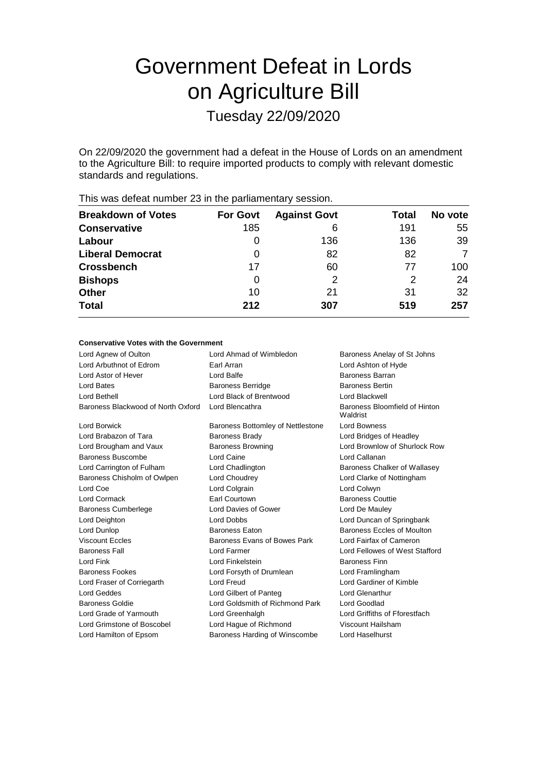# Government Defeat in Lords on Agriculture Bill

Tuesday 22/09/2020

On 22/09/2020 the government had a defeat in the House of Lords on an amendment to the Agriculture Bill: to require imported products to comply with relevant domestic standards and regulations.

|                           |                 | ◢                   |       |         |
|---------------------------|-----------------|---------------------|-------|---------|
| <b>Breakdown of Votes</b> | <b>For Govt</b> | <b>Against Govt</b> | Total | No vote |
| <b>Conservative</b>       | 185             | 6                   | 191   | 55      |
| Labour                    | 0               | 136                 | 136   | 39      |
| <b>Liberal Democrat</b>   | 0               | 82                  | 82    | 7       |
| <b>Crossbench</b>         | 17              | 60                  | 77    | 100     |
| <b>Bishops</b>            | 0               | 2                   | 2     | 24      |
| <b>Other</b>              | 10              | 21                  | 31    | 32      |
| <b>Total</b>              | 212             | 307                 | 519   | 257     |
|                           |                 |                     |       |         |

This was defeat number 23 in the parliamentary session.

# **Conservative Votes with the Government**

| Lord Agnew of Oulton               | Lord Ahmad of Wimbledon           | Baroness Anelay of St Johns               |
|------------------------------------|-----------------------------------|-------------------------------------------|
| Lord Arbuthnot of Edrom            | Farl Arran                        | Lord Ashton of Hyde                       |
| Lord Astor of Hever                | Lord Balfe                        | <b>Baroness Barran</b>                    |
| Lord Bates                         | <b>Baroness Berridge</b>          | <b>Baroness Bertin</b>                    |
| I ord Bethell                      | Lord Black of Brentwood           | Lord Blackwell                            |
| Baroness Blackwood of North Oxford | Lord Blencathra                   | Baroness Bloomfield of Hinton<br>Waldrist |
| Lord Borwick                       | Baroness Bottomley of Nettlestone | Lord Bowness                              |
| Lord Brabazon of Tara              | <b>Baroness Brady</b>             | Lord Bridges of Headley                   |
| Lord Brougham and Vaux             | <b>Baroness Browning</b>          | Lord Brownlow of Shurlock Row             |
| Baroness Buscombe                  | Lord Caine                        | Lord Callanan                             |
| Lord Carrington of Fulham          | Lord Chadlington                  | Baroness Chalker of Wallasey              |
| Baroness Chisholm of Owlpen        | Lord Choudrey                     | Lord Clarke of Nottingham                 |
| Lord Coe                           | Lord Colgrain                     | Lord Colwyn                               |
| Lord Cormack                       | <b>Farl Courtown</b>              | <b>Baroness Couttie</b>                   |
| <b>Baroness Cumberlege</b>         | Lord Davies of Gower              | Lord De Mauley                            |
| Lord Deighton                      | Lord Dobbs                        | Lord Duncan of Springbank                 |
| Lord Dunlop                        | <b>Baroness Eaton</b>             | Baroness Eccles of Moulton                |
| <b>Viscount Eccles</b>             | Baroness Evans of Bowes Park      | Lord Fairfax of Cameron                   |
| <b>Baroness Fall</b>               | Lord Farmer                       | Lord Fellowes of West Stafford            |
| Lord Fink                          | Lord Finkelstein                  | <b>Baroness Finn</b>                      |
| <b>Baroness Fookes</b>             | Lord Forsyth of Drumlean          | Lord Framlingham                          |
| Lord Fraser of Corriegarth         | Lord Freud                        | Lord Gardiner of Kimble                   |
| <b>Lord Geddes</b>                 | Lord Gilbert of Panteg            | Lord Glenarthur                           |
| Baroness Goldie                    | Lord Goldsmith of Richmond Park   | Lord Goodlad                              |
| Lord Grade of Yarmouth             | Lord Greenhalgh                   | Lord Griffiths of Fforestfach             |
| Lord Grimstone of Boscobel         | Lord Hague of Richmond            | Viscount Hailsham                         |
| Lord Hamilton of Epsom             | Baroness Harding of Winscombe     | Lord Haselhurst                           |
|                                    |                                   |                                           |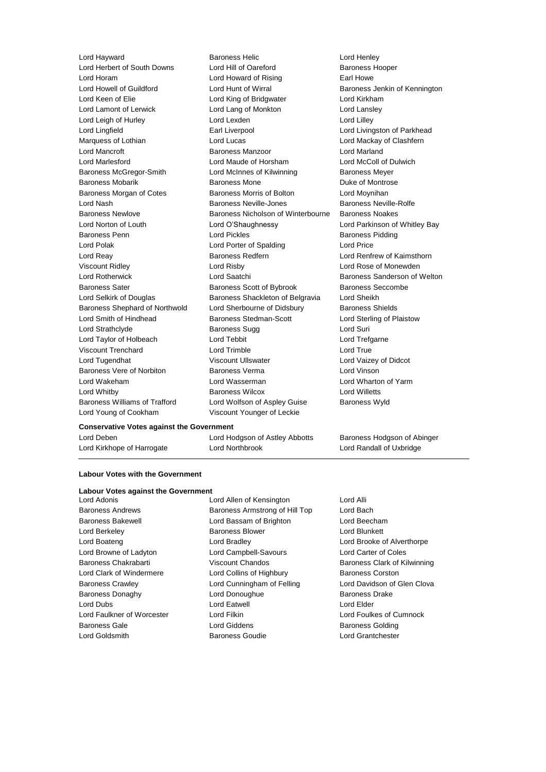Lord Young of Cookham Viscount Younger of Leckie

Lord Hayward **Baroness Helic** Lord Henley<br>
Lord Herbert of South Downs Lord Hill of Oareford **Baroness Hortes** Lord Herbert of South Downs Lord Hill of Oareford Baroness Hooper Lord Horam Lord Howard of Rising Earl Howe Lord Howell of Guildford **Lord Hunt of Wirral** Baroness Jenkin of Kennington Lord Keen of Elie **Lord King of Bridgwater** Lord Kirkham Lord Lamont of Lerwick **Lord Lord Lang of Monkton** Lord Lansley Lord Leigh of Hurley **Lord Lexden** Lord Lexden **Lord Lord Lilley** Lord Lingfield **Earl Liverpool** Earl Liverpool **Lord Livingston of Parkhead** Marquess of Lothian **Lord Lucas** Lord Lucas **Lord Mackay of Clashfern** Lord Mancroft **Baroness Manzoor** Baroness Manzoor **Lord Marland** Lord Marlesford Lord Maude of Horsham Lord McColl of Dulwich Baroness McGregor-Smith Lord McInnes of Kilwinning Baroness Meyer Baroness Mobarik **Baroness Mone** Baroness Mone Duke of Montrose Baroness Morgan of Cotes Baroness Morris of Bolton Lord Moynihan Lord Nash **Baroness Neville-Jones** Baroness Neville-Rolfe Baroness Newlove Baroness Nicholson of Winterbourne Baroness Noakes Lord Norton of Louth Lord O'Shaughnessy Lord Parkinson of Whitley Bay Baroness Penn **Lord Pickles Baroness Pidding** Lord Polak Lord Cord Porter of Spalding Lord Price Lord Reay Baroness Redfern Lord Renfrew of Kaimsthorn Viscount Ridley Lord Risby Lord Rose of Monewden Lord Rotherwick **Lord Saatchi** Baroness Sanderson of Welton Baroness Sater **Baroness Scott of Bybrook** Baroness Seccombe Lord Selkirk of Douglas Baroness Shackleton of Belgravia Lord Sheikh Baroness Shephard of Northwold Lord Sherbourne of Didsbury Baroness Shields Lord Smith of Hindhead Baroness Stedman-Scott Lord Sterling of Plaistow Lord Strathclyde Baroness Sugg Lord Suri Lord Taylor of Holbeach Lord Tebbit Lord Trefgarne Viscount Trenchard Lord Trimble Lord True Lord Tugendhat Viscount Ullswater Lord Vaizey of Didcot Baroness Vere of Norbiton Baroness Verma Lord Vinson Lord Wakeham Lord Wasserman Lord Wharton of Yarm Lord Whitby Baroness Wilcox Lord Willetts Baroness Williams of Trafford Lord Wolfson of Aspley Guise Baroness Wyld

## **Conservative Votes against the Government**

Lord Kirkhope of Harrogate Lord Northbrook Lord Randall of Uxbridge

Lord Deben Lord Hodgson of Astley Abbotts Baroness Hodgson of Abinger

#### **Labour Votes with the Government**

# **Labour Votes against the Government<br>Lord Adonis**

Lord Goldsmith Baroness Goudie Lord Grantchester

Lord Allen of Kensington Lord Alli Baroness Andrews **Baroness Armstrong of Hill Top** Lord Bach Baroness Bakewell Lord Bassam of Brighton Lord Beecham Lord Berkeley **Baroness Blower Baroness Blower Lord Blunkett** Lord Boateng Lord Bradley Lord Brooke of Alverthorpe Lord Browne of Ladyton Lord Campbell-Savours Lord Carter of Coles Baroness Chakrabarti Viscount Chandos Baroness Clark of Kilwinning Lord Clark of Windermere **Lord Collins of Highbury** Baroness Corston Baroness Crawley **Lord Cunningham of Felling Clova** Lord Davidson of Glen Clova Baroness Donaghy Lord Donoughue Baroness Drake Lord Dubs Lord Eatwell Lord Elder Lord Faulkner of Worcester Lord Filkin Lord Foulkes of Cumnock Baroness Gale **Baroness Golding** Lord Giddens **Baroness Golding**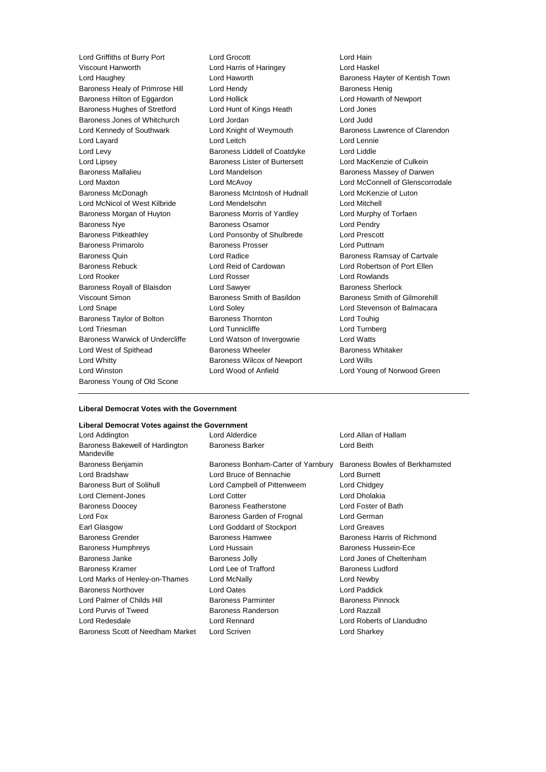Lord Griffiths of Burry Port Lord Grocott Lord Hain Viscount Hanworth Lord Harris of Haringey Lord Haughey Lord Haworth Baroness Hayter of Kentish Town Baroness Healy of Primrose Hill Lord Hendy **Baroness Henig** Baroness Henig Baroness Hilton of Eggardon Lord Hollick Lord Howarth of Newport Baroness Hughes of Stretford Lord Hunt of Kings Heath Lord Jones Baroness Jones of Whitchurch Lord Jordan Lord Judd Lord Kennedy of Southwark Lord Knight of Weymouth Baroness Lawrence of Clarendon Lord Layard Lord Leitch Lord Lennie Lord Levy Baroness Liddell of Coatdyke Lord Liddle Lord Lipsey **Baroness Lister of Burtersett** Lord MacKenzie of Culkein Baroness Mallalieu Lord Mandelson Baroness Massey of Darwen Lord Maxton Lord McAvoy Lord McConnell of Glenscorrodale Baroness McDonagh Baroness McIntosh of Hudnall Lord McKenzie of Luton Lord McNicol of West Kilbride Lord Mendelsohn Lord Mitchell Baroness Morgan of Huyton Baroness Morris of Yardley Cord Murphy of Torfaen Baroness Nye Baroness Osamor Lord Pendry Baroness Pitkeathley Lord Ponsonby of Shulbrede Lord Prescott Baroness Primarolo Baroness Prosser Lord Puttnam Baroness Quin **Communist Construction Construction** Lord Radice **Baroness Ramsay of Cartvale** Baroness Rebuck Lord Reid of Cardowan Lord Robertson of Port Ellen Lord Rooker Lord Rosser Lord Rowlands Baroness Royall of Blaisdon Lord Sawyer **Baroness Sherlock** Baroness Sherlock Viscount Simon **Baroness Smith of Basildon** Baroness Smith of Gilmorehill Lord Snape Lord Soley Lord Stevenson of Balmacara Baroness Taylor of Bolton Baroness Thornton Baroness Thornton Lord Triesman **Lord Tunnicliffe** Lord Tunnicliffe Lord Turnberg Baroness Warwick of Undercliffe Lord Watson of Invergowrie Lord Watts Lord West of Spithead **Baroness Wheeler** Baroness Wheeler Baroness Whitaker Lord Whitty Baroness Wilcox of Newport Lord Wills Lord Winston Lord Wood of Anfield Lord Young of Norwood Green Baroness Young of Old Scone

## **Liberal Democrat Votes with the Government**

# **Liberal Democrat Votes against the Government**

| Lord Alderdice                     | Lord Allan of Hallam           |
|------------------------------------|--------------------------------|
| <b>Baroness Barker</b>             | Lord Beith                     |
| Baroness Bonham-Carter of Yarnbury | Baroness Bowles of Berkhamsted |
| Lord Bruce of Bennachie            | Lord Burnett                   |
| Lord Campbell of Pittenweem        | Lord Chidgey                   |
| Lord Cotter                        | Lord Dholakia                  |
| <b>Baroness Featherstone</b>       | Lord Foster of Bath            |
| Baroness Garden of Frognal         | Lord German                    |
| Lord Goddard of Stockport          | Lord Greaves                   |
| <b>Baroness Hamwee</b>             | Baroness Harris of Richmond    |
| Lord Hussain                       | Baroness Hussein-Ece           |
| <b>Baroness Jolly</b>              | Lord Jones of Cheltenham       |
| Lord Lee of Trafford               | <b>Baroness Ludford</b>        |
| Lord McNally                       | Lord Newby                     |
| Lord Oates                         | Lord Paddick                   |
| <b>Baroness Parminter</b>          | <b>Baroness Pinnock</b>        |
| Baroness Randerson                 | Lord Razzall                   |
| <b>Lord Rennard</b>                | Lord Roberts of Llandudno      |
| Lord Scriven                       | Lord Sharkey                   |
|                                    |                                |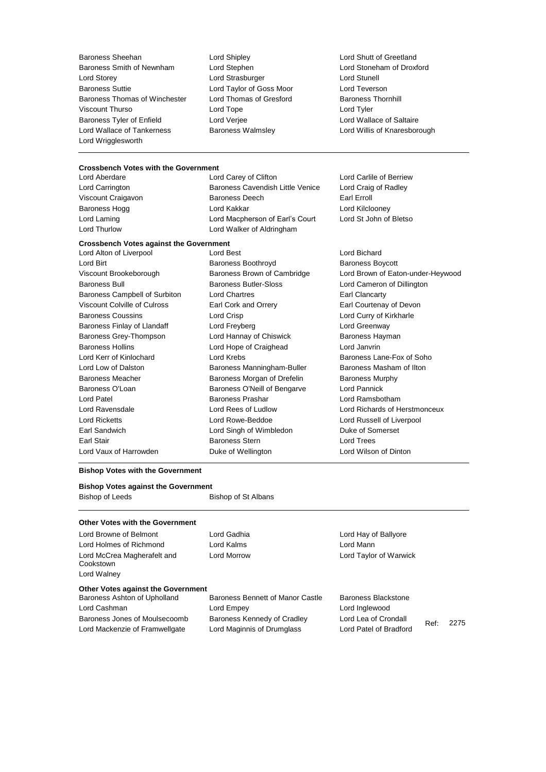Baroness Sheehan Lord Shipley Lord Shutt of Greetland Baroness Smith of Newnham Lord Storey Lord Strasburger Lord Stunell Baroness Suttie Lord Taylor of Goss Moor Lord Teverson Baroness Thomas of Winchester Lord Thomas of Gresford Baroness Thornhill Viscount Thurso Lord Tope Lord Tyler Baroness Tyler of Enfield Lord Verjee Lord Wallace of Saltaire Lord Wallace of Tankerness Baroness Walmsley Lord Willis of Knaresborough Lord Wrigglesworth

# **Crossbench Votes with the Government**

Lord Aberdare Lord Carey of Clifton Lord Carlile of Berriew Lord Carrington **Baroness Cavendish Little Venice** Lord Craig of Radley Viscount Craigavon **Baroness Deech** Earl Erroll Baroness Hogg **Lord Kakkar** Lord Kakkar **Lord Kilclooney** Lord Laming Lord Macpherson of Earl's Court Lord St John of Bletso Lord Thurlow Lord Walker of Aldringham

#### **Crossbench Votes against the Government**

| Lord Alton of Liverpool       | Lord Best                    | Lord Bichar        |
|-------------------------------|------------------------------|--------------------|
| Lord Birt                     | Baroness Boothroyd           | <b>Baroness B</b>  |
| Viscount Brookeborough        | Baroness Brown of Cambridge  | Lord Brown         |
| <b>Baroness Bull</b>          | <b>Baroness Butler-Sloss</b> | Lord Came          |
| Baroness Campbell of Surbiton | <b>Lord Chartres</b>         | Earl Clanca        |
| Viscount Colville of Culross  | Earl Cork and Orrery         | <b>Earl Courte</b> |
| <b>Baroness Coussins</b>      | Lord Crisp                   | Lord Curry         |
| Baroness Finlay of Llandaff   | Lord Freyberg                | Lord Green         |
| Baroness Grey-Thompson        | Lord Hannay of Chiswick      | Baroness H         |
| <b>Baroness Hollins</b>       | Lord Hope of Craighead       | Lord Janvri        |
| Lord Kerr of Kinlochard       | Lord Krebs                   | Baroness L         |
| Lord Low of Dalston           | Baroness Manningham-Buller   | Baroness N         |
| <b>Baroness Meacher</b>       | Baroness Morgan of Drefelin  | Baroness N         |
| Baroness O'Loan               | Baroness O'Neill of Bengarve | Lord Pannio        |
| Lord Patel                    | <b>Baroness Prashar</b>      | Lord Rams          |
| Lord Ravensdale               | Lord Rees of Ludlow          | Lord Richar        |
| <b>Lord Ricketts</b>          | Lord Rowe-Beddoe             | Lord Russe         |
| Earl Sandwich                 | Lord Singh of Wimbledon      | Duke of So         |
| Earl Stair                    | <b>Baroness Stern</b>        | Lord Trees         |
| Lord Vaux of Harrowden        | Duke of Wellington           | Lord Wilsor        |

Lord Bichard Dothroyd **Baroness Boycott** viscount of Cambridge Lord Brown of Eaton-under-Heywood atler-Sloss **Bull Baroness Bull Baroness Bull Baroness Bull Baroness Bullington** Barones Campbell of Surbiton Lord Clancarty d Orrery **Earl Courtenay of Devon** 

Lord Curry of Kirkharle **Baroness Finlandaff Lord Greenway** of Chiswick **Baroness Hayman** f Craighead Lord Janvrin Baroness Lane-Fox of Soho anningham-Buller **Baroness Masham of Ilton** organ of Drefelin Baroness Murphy Neill of Bengarve Lord Pannick ashar **Patel Baroness Prashar Lord Ramsbotham** f Ludlow Lord Richards of Herstmonceux Beddoe **Lord Russell of Liverpool** Earl Sandwich Lord Singh of Wimbledon Duke of Somerset lington **Example 2** Lord Wilson of Dinton

## **Bishop Votes with the Government**

# **Bishop Votes against the Government**

Bishop of Leeds Bishop of St Albans

## **Other Votes with the Government Other Votes against the Government**<br>Baroness Ashton of Upholland Lord Browne of Belmont Lord Gadhia Cord Canadhia Lord Hay of Ballyore Lord Holmes of Richmond Lord Kalms Lord Mann Lord McCrea Magherafelt and Cookstown Lord Morrow Lord Taylor of Warwick Lord Walney Baroness Bennett of Manor Castle Baroness Blackstone Lord Cashman Lord Empey Lord Inglewood

Baroness Jones of Moulsecoomb Baroness Kennedy of Cradley Lord Lea of Crondall Lord Mackenzie of Framwellgate Lord Maginnis of Drumglass Lord Patel of Bradford

Ref: 2275